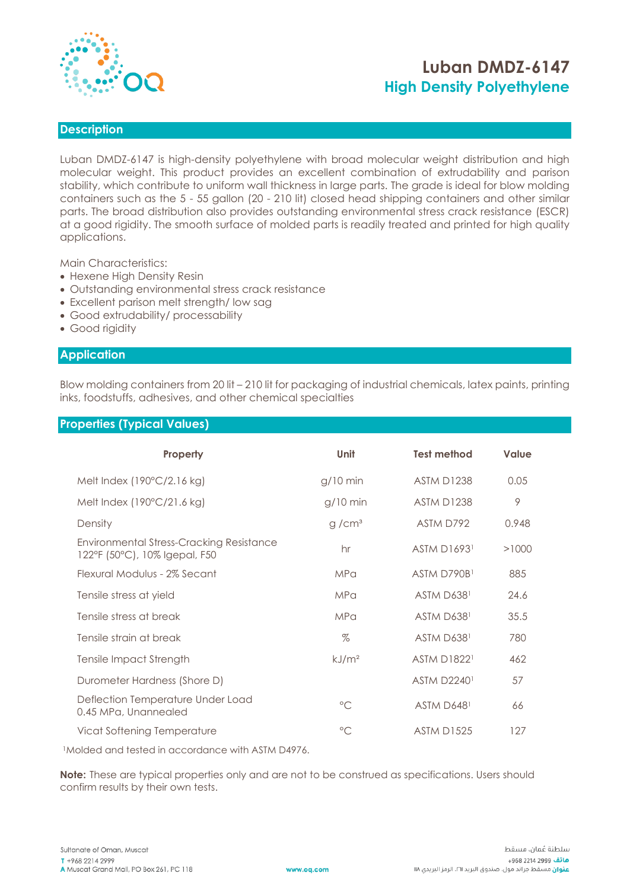

# **Luban DMDZ-6147 High Density Polyethylene**

### **Description**

Luban DMDZ-6147 is high-density polyethylene with broad molecular weight distribution and high molecular weight. This product provides an excellent combination of extrudability and parison stability, which contribute to uniform wall thickness in large parts. The grade is ideal for blow molding containers such as the 5 - 55 gallon (20 - 210 lit) closed head shipping containers and other similar parts. The broad distribution also provides outstanding environmental stress crack resistance (ESCR) at a good rigidity. The smooth surface of molded parts is readily treated and printed for high quality applications.

Main Characteristics:

- Hexene High Density Resin
- Outstanding environmental stress crack resistance
- Excellent parison melt strength/ low sag
- Good extrudability/ processability
- Good rigidity

#### **Application**

Blow molding containers from 20 lit – 210 lit for packaging of industrial chemicals, latex paints, printing inks, foodstuffs, adhesives, and other chemical specialties

### **Properties (Typical Values)**

| Property                                                                  | Unit              | <b>Test method</b> | Value |
|---------------------------------------------------------------------------|-------------------|--------------------|-------|
|                                                                           |                   |                    |       |
| Melt Index $(190^{\circ}C/2.16$ kg)                                       | $g/10$ min        | <b>ASTM D1238</b>  | 0.05  |
| Melt Index (190°C/21.6 kg)                                                | $g/10$ min        | <b>ASTM D1238</b>  | 9     |
| Density                                                                   | g/cm <sup>3</sup> | ASTM D792          | 0.948 |
| Environmental Stress-Cracking Resistance<br>122°F (50°C), 10% Igepal, F50 | hr                | <b>ASTM D16931</b> | >1000 |
| Flexural Modulus - 2% Secant                                              | <b>MPa</b>        | ASTM D790B1        | 885   |
| Tensile stress at yield                                                   | <b>MPa</b>        | <b>ASTM D6381</b>  | 24.6  |
| Tensile stress at break                                                   | <b>MPa</b>        | ASTM D6381         | 35.5  |
| Tensile strain at break                                                   | $\%$              | <b>ASTM D6381</b>  | 780   |
| Tensile Impact Strength                                                   | kJ/m <sup>2</sup> | <b>ASTM D18221</b> | 462   |
| Durometer Hardness (Shore D)                                              |                   | <b>ASTM D22401</b> | 57    |
| Deflection Temperature Under Load<br>0.45 MPa, Unannealed                 | $\circ$ C         | ASTM D6481         | 66    |
| Vicat Softening Temperature                                               | $\circ$           | <b>ASTM D1525</b>  | 127   |

<sup>1</sup>Molded and tested in accordance with ASTM D4976.

**Note:** These are typical properties only and are not to be construed as specifications. Users should confirm results by their own tests.